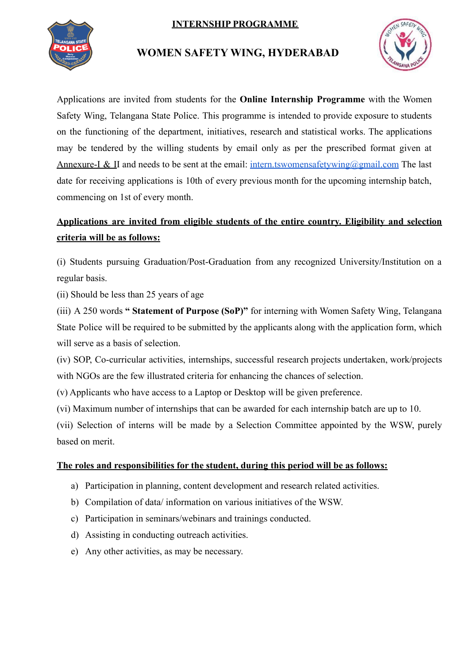### **INTERNSHIP PROGRAMME**



## **WOMEN SAFETY WING, HYDERABAD**



Applications are invited from students for the **Online Internship Programme** with the Women Safety Wing, Telangana State Police. This programme is intended to provide exposure to students on the functioning of the department, initiatives, research and statistical works. The applications may be tendered by the willing students by email only as per the prescribed format given at Annexure-I & II and needs to be sent at the email: [intern.tswomensafetywing@gmail.com](mailto:intern.tswomensafetywing@gmail.com) The last date for receiving applications is 10th of every previous month for the upcoming internship batch, commencing on 1st of every month.

# **Applications are invited from eligible students of the entire country. Eligibility and selection criteria will be as follows:**

(i) Students pursuing Graduation/Post-Graduation from any recognized University/Institution on a regular basis.

(ii) Should be less than 25 years of age

(iii) A 250 words **" Statement of Purpose (SoP)"** for interning with Women Safety Wing, Telangana State Police will be required to be submitted by the applicants along with the application form, which will serve as a basis of selection.

(iv) SOP, Co-curricular activities, internships, successful research projects undertaken, work/projects with NGOs are the few illustrated criteria for enhancing the chances of selection.

(v) Applicants who have access to a Laptop or Desktop will be given preference.

(vi) Maximum number of internships that can be awarded for each internship batch are up to 10.

(vii) Selection of interns will be made by a Selection Committee appointed by the WSW, purely based on merit.

#### **The roles and responsibilities for the student, during this period will be as follows:**

- a) Participation in planning, content development and research related activities.
- b) Compilation of data/ information on various initiatives of the WSW.
- c) Participation in seminars/webinars and trainings conducted.
- d) Assisting in conducting outreach activities.
- e) Any other activities, as may be necessary.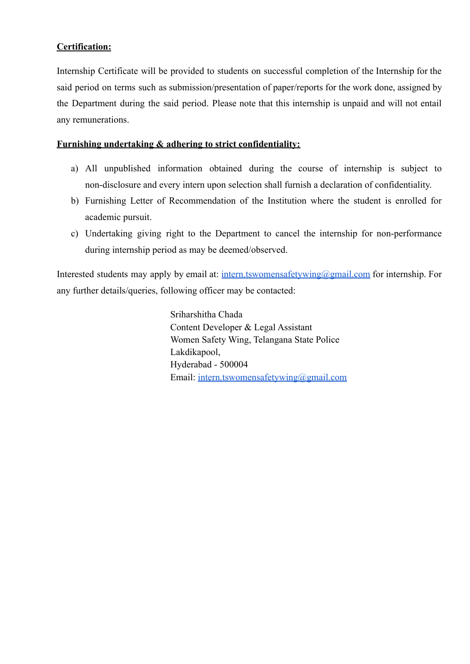#### **Certification:**

Internship Certificate will be provided to students on successful completion of the Internship for the said period on terms such as submission/presentation of paper/reports for the work done, assigned by the Department during the said period. Please note that this internship is unpaid and will not entail any remunerations.

#### **Furnishing undertaking & adhering to strict confidentiality:**

- a) All unpublished information obtained during the course of internship is subject to non-disclosure and every intern upon selection shall furnish a declaration of confidentiality.
- b) Furnishing Letter of Recommendation of the Institution where the student is enrolled for academic pursuit.
- c) Undertaking giving right to the Department to cancel the internship for non-performance during internship period as may be deemed/observed.

Interested students may apply by email at: [intern.tswomensafetywing@gmail.com](mailto:intern.tswomensafetywing@gmail.com) for internship. For any further details/queries, following officer may be contacted:

> Sriharshitha Chada Content Developer & Legal Assistant Women Safety Wing, Telangana State Police Lakdikapool, Hyderabad - 500004 Email: [intern.tswomensafetywing@gmail.com](mailto:intern.tswomensafetywing@gmail.com)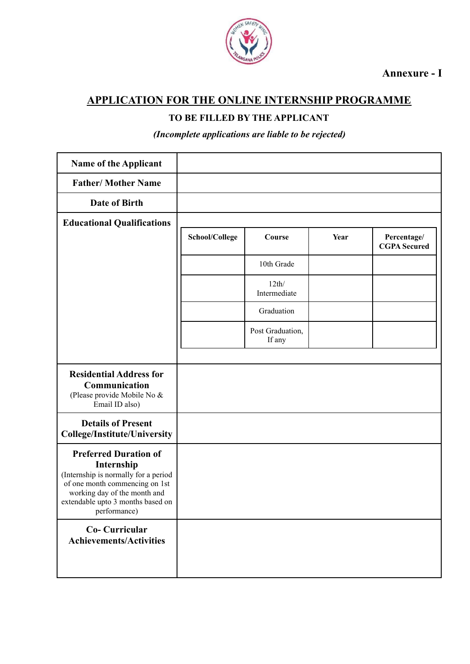

**Annexure - I**

## **APPLICATION FOR THE ONLINE INTERNSHIP PROGRAMME**

### **TO BE FILLED BY THE APPLICANT**

*(Incomplete applications are liable to be rejected)*

| Name of the Applicant                                                                                                                                                                                     |                |                            |      |                                    |
|-----------------------------------------------------------------------------------------------------------------------------------------------------------------------------------------------------------|----------------|----------------------------|------|------------------------------------|
| <b>Father/ Mother Name</b>                                                                                                                                                                                |                |                            |      |                                    |
| Date of Birth                                                                                                                                                                                             |                |                            |      |                                    |
| <b>Educational Qualifications</b>                                                                                                                                                                         |                |                            |      |                                    |
|                                                                                                                                                                                                           | School/College | Course                     | Year | Percentage/<br><b>CGPA</b> Secured |
|                                                                                                                                                                                                           |                | 10th Grade                 |      |                                    |
|                                                                                                                                                                                                           |                | 12th/<br>Intermediate      |      |                                    |
|                                                                                                                                                                                                           |                | Graduation                 |      |                                    |
|                                                                                                                                                                                                           |                | Post Graduation,<br>If any |      |                                    |
| <b>Residential Address for</b><br>Communication<br>(Please provide Mobile No &<br>Email ID also)                                                                                                          |                |                            |      |                                    |
| <b>Details of Present</b><br><b>College/Institute/University</b>                                                                                                                                          |                |                            |      |                                    |
| <b>Preferred Duration of</b><br>Internship<br>(Internship is normally for a period<br>of one month commencing on 1st<br>working day of the month and<br>extendable upto 3 months based on<br>performance) |                |                            |      |                                    |
| <b>Co- Curricular</b><br><b>Achievements/Activities</b>                                                                                                                                                   |                |                            |      |                                    |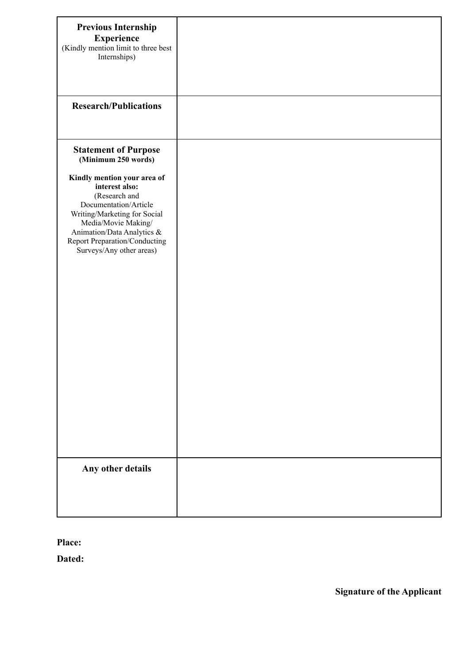| <b>Previous Internship</b><br><b>Experience</b><br>(Kindly mention limit to three best<br>Internships)                                                                                                                                                                                          |  |
|-------------------------------------------------------------------------------------------------------------------------------------------------------------------------------------------------------------------------------------------------------------------------------------------------|--|
| <b>Research/Publications</b>                                                                                                                                                                                                                                                                    |  |
| <b>Statement of Purpose</b><br>(Minimum 250 words)<br>Kindly mention your area of<br>interest also:<br>(Research and<br>Documentation/Article<br>Writing/Marketing for Social<br>Media/Movie Making/<br>Animation/Data Analytics &<br>Report Preparation/Conducting<br>Surveys/Any other areas) |  |
| Any other details                                                                                                                                                                                                                                                                               |  |

**Place:**

**Dated:**

**Signature of the Applicant**